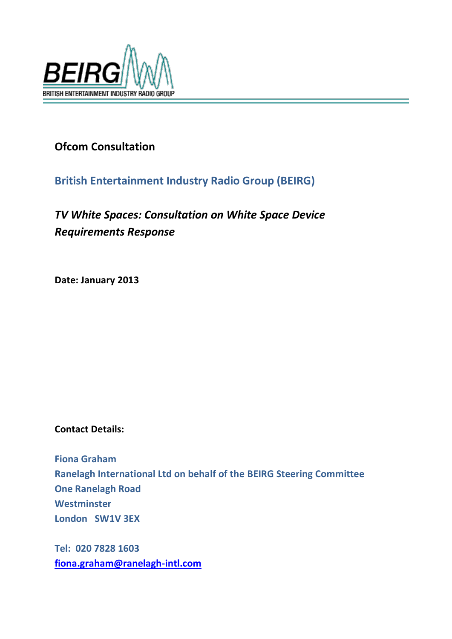

# **Ofcom Consultation**

## **British Entertainment Industry Radio Group (BEIRG)**

# *TV White Spaces: Consultation on White Space Device Requirements Response*

**Date: January 2013**

## **Contact Details:**

**Fiona Graham Ranelagh International Ltd on behalf of the BEIRG Steering Committee One Ranelagh Road Westminster London SW1V 3EX**

**Tel: 020 7828 1603 [fiona.graham@ranelagh-intl.com](mailto:Fiona.graham@ranelagh-intl.com)**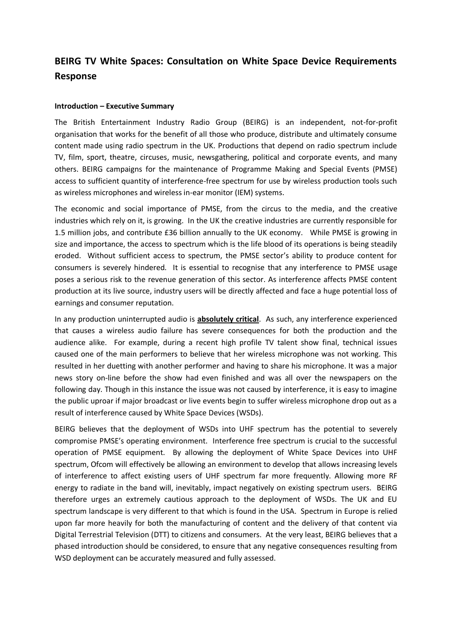## **BEIRG TV White Spaces: Consultation on White Space Device Requirements Response**

#### **Introduction – Executive Summary**

The British Entertainment Industry Radio Group (BEIRG) is an independent, not-for-profit organisation that works for the benefit of all those who produce, distribute and ultimately consume content made using radio spectrum in the UK. Productions that depend on radio spectrum include TV, film, sport, theatre, circuses, music, newsgathering, political and corporate events, and many others. BEIRG campaigns for the maintenance of Programme Making and Special Events (PMSE) access to sufficient quantity of interference-free spectrum for use by wireless production tools such as wireless microphones and wireless in-ear monitor (IEM) systems.

The economic and social importance of PMSE, from the circus to the media, and the creative industries which rely on it, is growing. In the UK the creative industries are currently responsible for 1.5 million jobs, and contribute £36 billion annually to the UK economy. While PMSE is growing in size and importance, the access to spectrum which is the life blood of its operations is being steadily eroded. Without sufficient access to spectrum, the PMSE sector's ability to produce content for consumers is severely hindered. It is essential to recognise that any interference to PMSE usage poses a serious risk to the revenue generation of this sector. As interference affects PMSE content production at its live source, industry users will be directly affected and face a huge potential loss of earnings and consumer reputation.

In any production uninterrupted audio is **absolutely critical**. As such, any interference experienced that causes a wireless audio failure has severe consequences for both the production and the audience alike. For example, during a recent high profile TV talent show final, technical issues caused one of the main performers to believe that her wireless microphone was not working. This resulted in her duetting with another performer and having to share his microphone. It was a major news story on-line before the show had even finished and was all over the newspapers on the following day. Though in this instance the issue was not caused by interference, it is easy to imagine the public uproar if major broadcast or live events begin to suffer wireless microphone drop out as a result of interference caused by White Space Devices (WSDs).

BEIRG believes that the deployment of WSDs into UHF spectrum has the potential to severely compromise PMSE's operating environment. Interference free spectrum is crucial to the successful operation of PMSE equipment. By allowing the deployment of White Space Devices into UHF spectrum, Ofcom will effectively be allowing an environment to develop that allows increasing levels of interference to affect existing users of UHF spectrum far more frequently. Allowing more RF energy to radiate in the band will, inevitably, impact negatively on existing spectrum users. BEIRG therefore urges an extremely cautious approach to the deployment of WSDs. The UK and EU spectrum landscape is very different to that which is found in the USA. Spectrum in Europe is relied upon far more heavily for both the manufacturing of content and the delivery of that content via Digital Terrestrial Television (DTT) to citizens and consumers. At the very least, BEIRG believes that a phased introduction should be considered, to ensure that any negative consequences resulting from WSD deployment can be accurately measured and fully assessed.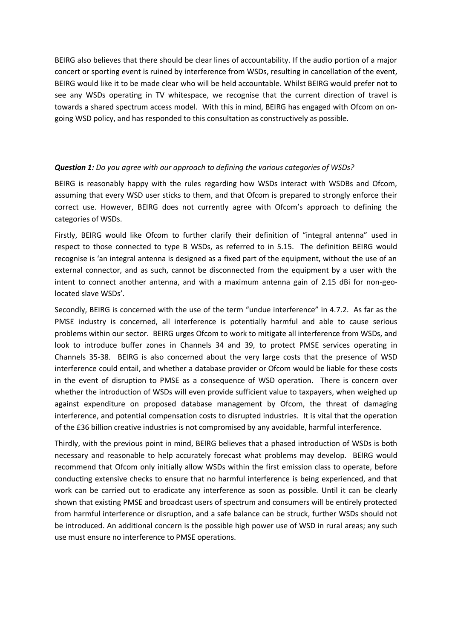BEIRG also believes that there should be clear lines of accountability. If the audio portion of a major concert or sporting event is ruined by interference from WSDs, resulting in cancellation of the event, BEIRG would like it to be made clear who will be held accountable. Whilst BEIRG would prefer not to see any WSDs operating in TV whitespace, we recognise that the current direction of travel is towards a shared spectrum access model. With this in mind, BEIRG has engaged with Ofcom on ongoing WSD policy, and has responded to this consultation as constructively as possible.

#### *Question 1: Do you agree with our approach to defining the various categories of WSDs?*

BEIRG is reasonably happy with the rules regarding how WSDs interact with WSDBs and Ofcom, assuming that every WSD user sticks to them, and that Ofcom is prepared to strongly enforce their correct use. However, BEIRG does not currently agree with Ofcom's approach to defining the categories of WSDs.

Firstly, BEIRG would like Ofcom to further clarify their definition of "integral antenna" used in respect to those connected to type B WSDs, as referred to in 5.15. The definition BEIRG would recognise is 'an integral antenna is designed as a fixed part of the equipment, without the use of an external connector, and as such, cannot be disconnected from the equipment by a user with the intent to connect another antenna, and with a maximum antenna gain of 2.15 dBi for non-geolocated slave WSDs'.

Secondly, BEIRG is concerned with the use of the term "undue interference" in 4.7.2. As far as the PMSE industry is concerned, all interference is potentially harmful and able to cause serious problems within our sector. BEIRG urges Ofcom to work to mitigate all interference from WSDs, and look to introduce buffer zones in Channels 34 and 39, to protect PMSE services operating in Channels 35-38. BEIRG is also concerned about the very large costs that the presence of WSD interference could entail, and whether a database provider or Ofcom would be liable for these costs in the event of disruption to PMSE as a consequence of WSD operation. There is concern over whether the introduction of WSDs will even provide sufficient value to taxpayers, when weighed up against expenditure on proposed database management by Ofcom, the threat of damaging interference, and potential compensation costs to disrupted industries. It is vital that the operation of the £36 billion creative industries is not compromised by any avoidable, harmful interference.

Thirdly, with the previous point in mind, BEIRG believes that a phased introduction of WSDs is both necessary and reasonable to help accurately forecast what problems may develop. BEIRG would recommend that Ofcom only initially allow WSDs within the first emission class to operate, before conducting extensive checks to ensure that no harmful interference is being experienced, and that work can be carried out to eradicate any interference as soon as possible. Until it can be clearly shown that existing PMSE and broadcast users of spectrum and consumers will be entirely protected from harmful interference or disruption, and a safe balance can be struck, further WSDs should not be introduced. An additional concern is the possible high power use of WSD in rural areas; any such use must ensure no interference to PMSE operations.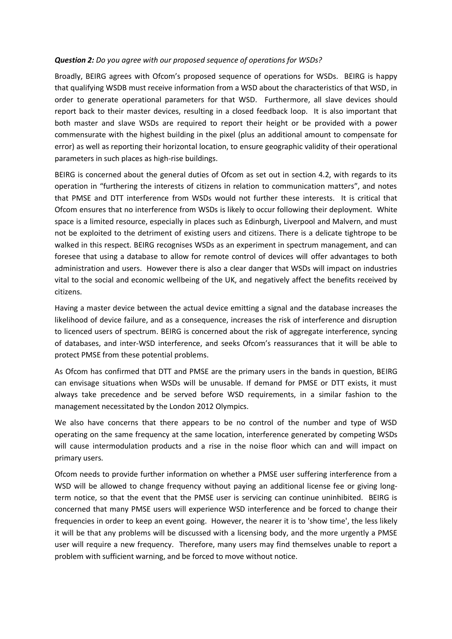#### *Question 2: Do you agree with our proposed sequence of operations for WSDs?*

Broadly, BEIRG agrees with Ofcom's proposed sequence of operations for WSDs. BEIRG is happy that qualifying WSDB must receive information from a WSD about the characteristics of that WSD, in order to generate operational parameters for that WSD. Furthermore, all slave devices should report back to their master devices, resulting in a closed feedback loop. It is also important that both master and slave WSDs are required to report their height or be provided with a power commensurate with the highest building in the pixel (plus an additional amount to compensate for error) as well as reporting their horizontal location, to ensure geographic validity of their operational parameters in such places as high-rise buildings.

BEIRG is concerned about the general duties of Ofcom as set out in section 4.2, with regards to its operation in "furthering the interests of citizens in relation to communication matters", and notes that PMSE and DTT interference from WSDs would not further these interests. It is critical that Ofcom ensures that no interference from WSDs is likely to occur following their deployment. White space is a limited resource, especially in places such as Edinburgh, Liverpool and Malvern, and must not be exploited to the detriment of existing users and citizens. There is a delicate tightrope to be walked in this respect. BEIRG recognises WSDs as an experiment in spectrum management, and can foresee that using a database to allow for remote control of devices will offer advantages to both administration and users. However there is also a clear danger that WSDs will impact on industries vital to the social and economic wellbeing of the UK, and negatively affect the benefits received by citizens.

Having a master device between the actual device emitting a signal and the database increases the likelihood of device failure, and as a consequence, increases the risk of interference and disruption to licenced users of spectrum. BEIRG is concerned about the risk of aggregate interference, syncing of databases, and inter-WSD interference, and seeks Ofcom's reassurances that it will be able to protect PMSE from these potential problems.

As Ofcom has confirmed that DTT and PMSE are the primary users in the bands in question, BEIRG can envisage situations when WSDs will be unusable. If demand for PMSE or DTT exists, it must always take precedence and be served before WSD requirements, in a similar fashion to the management necessitated by the London 2012 Olympics.

We also have concerns that there appears to be no control of the number and type of WSD operating on the same frequency at the same location, interference generated by competing WSDs will cause intermodulation products and a rise in the noise floor which can and will impact on primary users.

Ofcom needs to provide further information on whether a PMSE user suffering interference from a WSD will be allowed to change frequency without paying an additional license fee or giving longterm notice, so that the event that the PMSE user is servicing can continue uninhibited. BEIRG is concerned that many PMSE users will experience WSD interference and be forced to change their frequencies in order to keep an event going. However, the nearer it is to 'show time', the less likely it will be that any problems will be discussed with a licensing body, and the more urgently a PMSE user will require a new frequency. Therefore, many users may find themselves unable to report a problem with sufficient warning, and be forced to move without notice.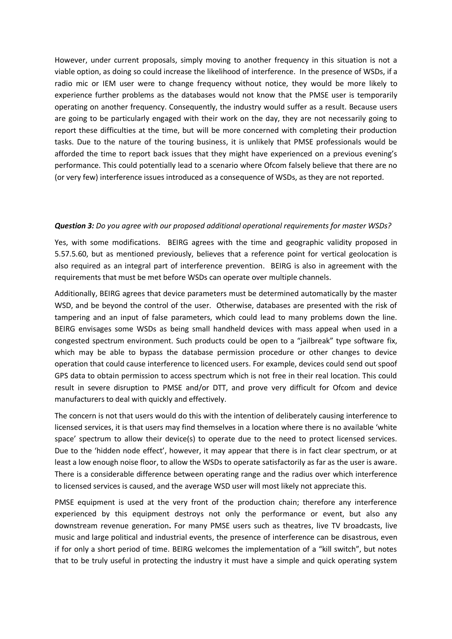However, under current proposals, simply moving to another frequency in this situation is not a viable option, as doing so could increase the likelihood of interference. In the presence of WSDs, if a radio mic or IEM user were to change frequency without notice, they would be more likely to experience further problems as the databases would not know that the PMSE user is temporarily operating on another frequency. Consequently, the industry would suffer as a result. Because users are going to be particularly engaged with their work on the day, they are not necessarily going to report these difficulties at the time, but will be more concerned with completing their production tasks. Due to the nature of the touring business, it is unlikely that PMSE professionals would be afforded the time to report back issues that they might have experienced on a previous evening's performance. This could potentially lead to a scenario where Ofcom falsely believe that there are no (or very few) interference issues introduced as a consequence of WSDs, as they are not reported.

#### *Question 3: Do you agree with our proposed additional operational requirements for master WSDs?*

Yes, with some modifications. BEIRG agrees with the time and geographic validity proposed in 5.57.5.60, but as mentioned previously, believes that a reference point for vertical geolocation is also required as an integral part of interference prevention. BEIRG is also in agreement with the requirements that must be met before WSDs can operate over multiple channels.

Additionally, BEIRG agrees that device parameters must be determined automatically by the master WSD, and be beyond the control of the user. Otherwise, databases are presented with the risk of tampering and an input of false parameters, which could lead to many problems down the line. BEIRG envisages some WSDs as being small handheld devices with mass appeal when used in a congested spectrum environment. Such products could be open to a "jailbreak" type software fix, which may be able to bypass the database permission procedure or other changes to device operation that could cause interference to licenced users. For example, devices could send out spoof GPS data to obtain permission to access spectrum which is not free in their real location. This could result in severe disruption to PMSE and/or DTT, and prove very difficult for Ofcom and device manufacturers to deal with quickly and effectively.

The concern is not that users would do this with the intention of deliberately causing interference to licensed services, it is that users may find themselves in a location where there is no available 'white space' spectrum to allow their device(s) to operate due to the need to protect licensed services. Due to the 'hidden node effect', however, it may appear that there is in fact clear spectrum, or at least a low enough noise floor, to allow the WSDs to operate satisfactorily as far as the user is aware. There is a considerable difference between operating range and the radius over which interference to licensed services is caused, and the average WSD user will most likely not appreciate this.

PMSE equipment is used at the very front of the production chain; therefore any interference experienced by this equipment destroys not only the performance or event, but also any downstream revenue generation**.** For many PMSE users such as theatres, live TV broadcasts, live music and large political and industrial events, the presence of interference can be disastrous, even if for only a short period of time. BEIRG welcomes the implementation of a "kill switch", but notes that to be truly useful in protecting the industry it must have a simple and quick operating system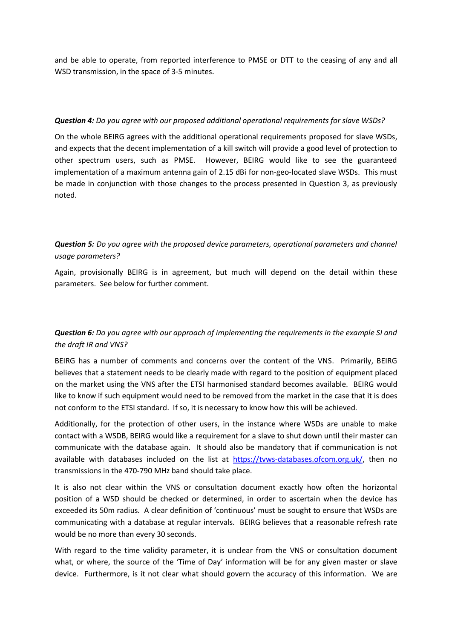and be able to operate, from reported interference to PMSE or DTT to the ceasing of any and all WSD transmission, in the space of 3-5 minutes.

#### *Question 4: Do you agree with our proposed additional operational requirements for slave WSDs?*

On the whole BEIRG agrees with the additional operational requirements proposed for slave WSDs, and expects that the decent implementation of a kill switch will provide a good level of protection to other spectrum users, such as PMSE. However, BEIRG would like to see the guaranteed implementation of a maximum antenna gain of 2.15 dBi for non-geo-located slave WSDs. This must be made in conjunction with those changes to the process presented in Question 3, as previously noted.

## *Question 5: Do you agree with the proposed device parameters, operational parameters and channel usage parameters?*

Again, provisionally BEIRG is in agreement, but much will depend on the detail within these parameters. See below for further comment.

### *Question 6: Do you agree with our approach of implementing the requirements in the example SI and the draft IR and VNS?*

BEIRG has a number of comments and concerns over the content of the VNS. Primarily, BEIRG believes that a statement needs to be clearly made with regard to the position of equipment placed on the market using the VNS after the ETSI harmonised standard becomes available. BEIRG would like to know if such equipment would need to be removed from the market in the case that it is does not conform to the ETSI standard. If so, it is necessary to know how this will be achieved.

Additionally, for the protection of other users, in the instance where WSDs are unable to make contact with a WSDB, BEIRG would like a requirement for a slave to shut down until their master can communicate with the database again. It should also be mandatory that if communication is not available with databases included on the list at [https://tvws-databases.ofcom.org.uk/,](https://tvws-databases.ofcom.org.uk/) then no transmissions in the 470-790 MHz band should take place.

It is also not clear within the VNS or consultation document exactly how often the horizontal position of a WSD should be checked or determined, in order to ascertain when the device has exceeded its 50m radius. A clear definition of 'continuous' must be sought to ensure that WSDs are communicating with a database at regular intervals. BEIRG believes that a reasonable refresh rate would be no more than every 30 seconds.

With regard to the time validity parameter, it is unclear from the VNS or consultation document what, or where, the source of the 'Time of Day' information will be for any given master or slave device. Furthermore, is it not clear what should govern the accuracy of this information. We are